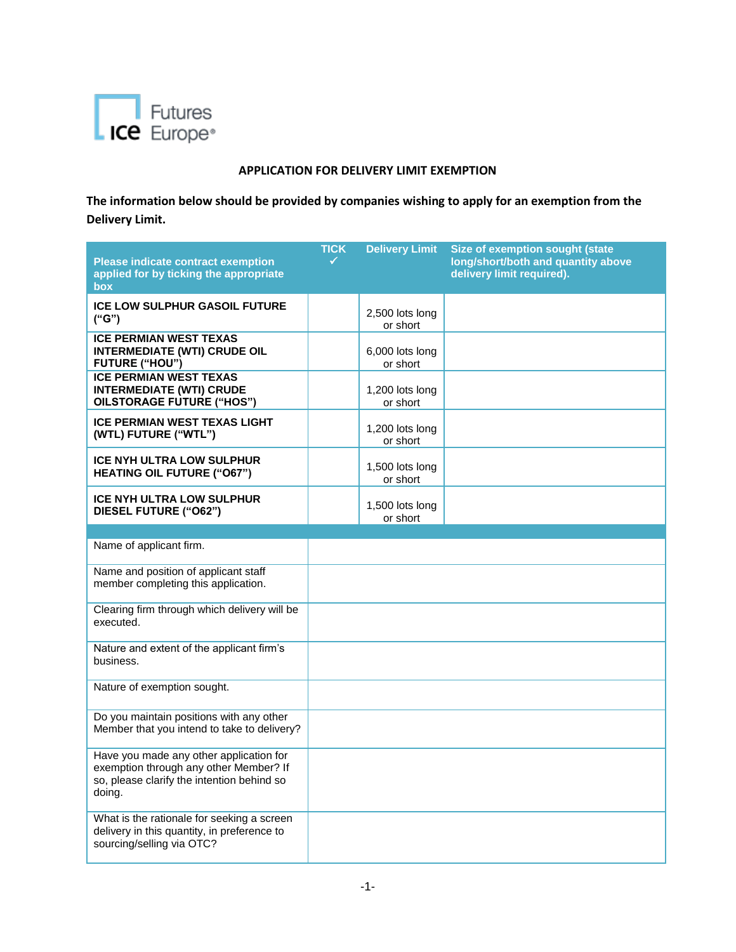

## **APPLICATION FOR DELIVERY LIMIT EXEMPTION**

**The information below should be provided by companies wishing to apply for an exemption from the Delivery Limit.**

| <b>Please indicate contract exemption</b>                                                                                                 | <b>TICK</b> | <b>Delivery Limit</b>       | Size of exemption sought (state<br>long/short/both and quantity above |
|-------------------------------------------------------------------------------------------------------------------------------------------|-------------|-----------------------------|-----------------------------------------------------------------------|
| applied for by ticking the appropriate<br>box                                                                                             |             |                             | delivery limit required).                                             |
| <b>ICE LOW SULPHUR GASOIL FUTURE</b><br>("G")                                                                                             |             | 2,500 lots long<br>or short |                                                                       |
| <b>ICE PERMIAN WEST TEXAS</b><br><b>INTERMEDIATE (WTI) CRUDE OIL</b><br><b>FUTURE ("HOU")</b>                                             |             | 6,000 lots long<br>or short |                                                                       |
| <b>ICE PERMIAN WEST TEXAS</b><br><b>INTERMEDIATE (WTI) CRUDE</b><br><b>OILSTORAGE FUTURE ("HOS")</b>                                      |             | 1,200 lots long<br>or short |                                                                       |
| <b>ICE PERMIAN WEST TEXAS LIGHT</b><br>(WTL) FUTURE ("WTL")                                                                               |             | 1,200 lots long<br>or short |                                                                       |
| <b>ICE NYH ULTRA LOW SULPHUR</b><br><b>HEATING OIL FUTURE ("O67")</b>                                                                     |             | 1,500 lots long<br>or short |                                                                       |
| <b>ICE NYH ULTRA LOW SULPHUR</b><br>DIESEL FUTURE ("O62")                                                                                 |             | 1,500 lots long<br>or short |                                                                       |
| Name of applicant firm.                                                                                                                   |             |                             |                                                                       |
|                                                                                                                                           |             |                             |                                                                       |
| Name and position of applicant staff<br>member completing this application.                                                               |             |                             |                                                                       |
| Clearing firm through which delivery will be<br>executed.                                                                                 |             |                             |                                                                       |
| Nature and extent of the applicant firm's<br>business.                                                                                    |             |                             |                                                                       |
| Nature of exemption sought.                                                                                                               |             |                             |                                                                       |
| Do you maintain positions with any other<br>Member that you intend to take to delivery?                                                   |             |                             |                                                                       |
| Have you made any other application for<br>exemption through any other Member? If<br>so, please clarify the intention behind so<br>doing. |             |                             |                                                                       |
| What is the rationale for seeking a screen<br>delivery in this quantity, in preference to<br>sourcing/selling via OTC?                    |             |                             |                                                                       |